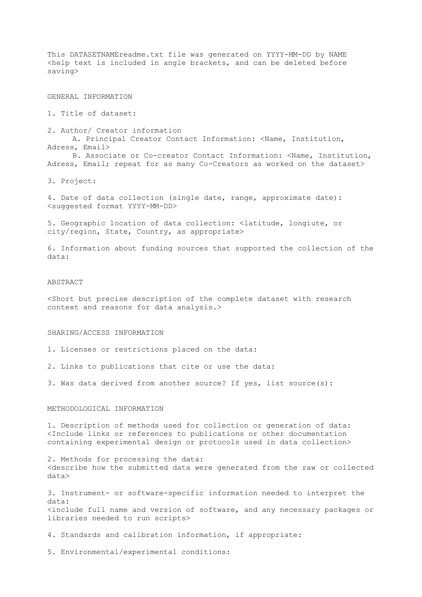This DATASETNAMEreadme.txt file was generated on YYYY-MM-DD by NAME <help text is included in angle brackets, and can be deleted before saving> GENERAL INFORMATION 1. Title of dataset: 2. Author/ Creator information A. Principal Creator Contact Information: <Name, Institution, Adress, Email> B. Associate or Co-creator Contact Information: <Name, Institution, Adress, Email; repeat for as many Co-Creators as worked on the dataset> 3. Project: 4. Date of data collection (single date, range, approximate date): <suggested format YYYY-MM-DD> 5. Geographic location of data collection: <latitude, longiute, or city/region, State, Country, as appropriate> 6. Information about funding sources that supported the collection of the data: ABSTRACT <Short but precise description of the complete dataset with research context and reasons for data analysis.>

## SHARING/ACCESS INFORMATION

- 1. Licenses or restrictions placed on the data:
- 2. Links to publications that cite or use the data:
- 3. Was data derived from another source? If yes, list source(s):

## METHODOLOGICAL INFORMATION

1. Description of methods used for collection or generation of data: <Include links or references to publications or other documentation containing experimental design or protocols used in data collection>

2. Methods for processing the data: <describe how the submitted data were generated from the raw or collected data>

3. Instrument- or software-specific information needed to interpret the data: <include full name and version of software, and any necessary packages or libraries needed to run scripts>

4. Standards and calibration information, if appropriate:

5. Environmental/experimental conditions: